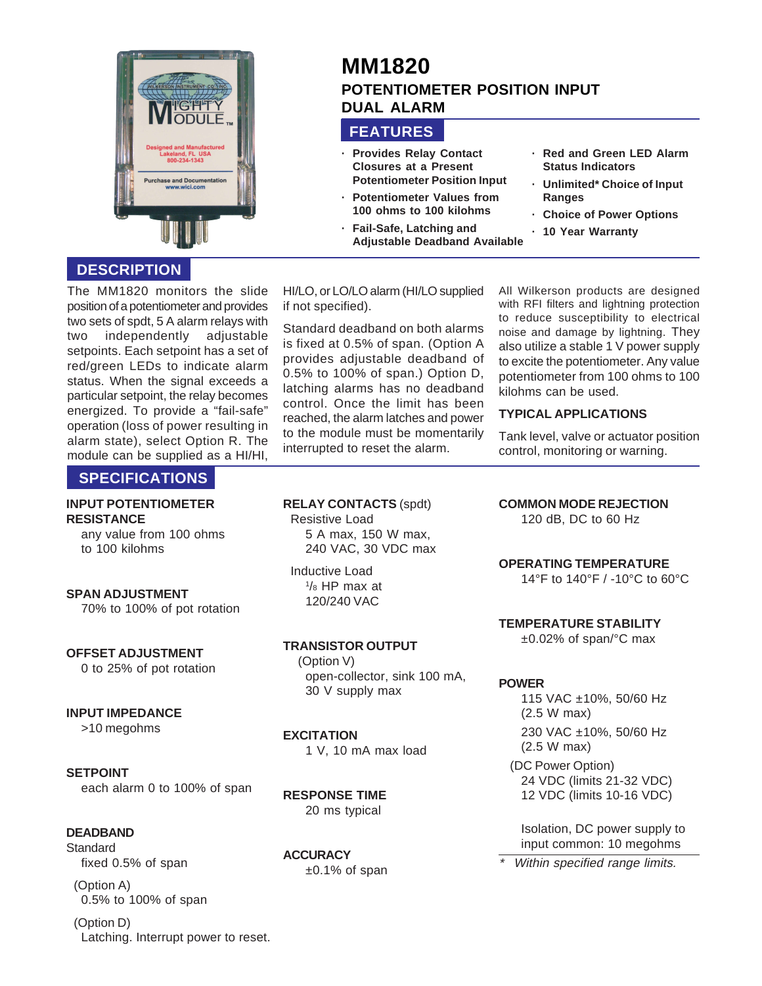

# **DESCRIPTION**

The MM1820 monitors the slide position of a potentiometer and provides two sets of spdt, 5 A alarm relays with two independently adjustable setpoints. Each setpoint has a set of red/green LEDs to indicate alarm status. When the signal exceeds a particular setpoint, the relay becomes energized. To provide a "fail-safe" operation (loss of power resulting in alarm state), select Option R. The module can be supplied as a HI/HI,

# **SPECIFICATIONS**

#### **INPUT POTENTIOMETER RESISTANCE**

any value from 100 ohms to 100 kilohms

#### **SPAN ADJUSTMENT**

70% to 100% of pot rotation

#### **OFFSET ADJUSTMENT**

0 to 25% of pot rotation

#### **INPUT IMPEDANCE**

>10 megohms

#### **SETPOINT**

each alarm 0 to 100% of span

## **DEADBAND**

**Standard** fixed 0.5% of span

(Option A) 0.5% to 100% of span

(Option D) Latching. Interrupt power to reset. HI/LO, or LO/LO alarm (HI/LO supplied if not specified).

**FEATURES**

**· Provides Relay Contact Closures at a Present Potentiometer Position Input · Potentiometer Values from 100 ohms to 100 kilohms · Fail-Safe, Latching and**

**Adjustable Deadband Available**

**DUAL ALARM**

**POTENTIOMETER POSITION INPUT**

**MM1820**

Standard deadband on both alarms is fixed at 0.5% of span. (Option A provides adjustable deadband of 0.5% to 100% of span.) Option D, latching alarms has no deadband control. Once the limit has been reached, the alarm latches and power to the module must be momentarily interrupted to reset the alarm.

All Wilkerson products are designed with RFI filters and lightning protection to reduce susceptibility to electrical noise and damage by lightning. They also utilize a stable 1 V power supply to excite the potentiometer. Any value potentiometer from 100 ohms to 100 kilohms can be used.

**· Red and Green LED Alarm Status Indicators · Unlimited\* Choice of Input**

**· Choice of Power Options**

**· 10 Year Warranty**

## **TYPICAL APPLICATIONS**

**Ranges**

Tank level, valve or actuator position control, monitoring or warning.

**RELAY CONTACTS** (spdt) Resistive Load 5 A max, 150 W max, 240 VAC, 30 VDC max

Inductive Load 1 /8 HP max at 120/240 VAC

**TRANSISTOR OUTPUT** (Option V) open-collector, sink 100 mA, 30 V supply max

**EXCITATION** 1 V, 10 mA max load

**RESPONSE TIME** 20 ms typical

**ACCURACY**  $±0.1\%$  of span **COMMON MODE REJECTION**

120 dB, DC to 60 Hz

**OPERATING TEMPERATURE**

14°F to 140°F / -10°C to 60°C

**TEMPERATURE STABILITY**

±0.02% of span/°C max

#### **POWER**

\*

115 VAC ±10%, 50/60 Hz (2.5 W max) 230 VAC ±10%, 50/60 Hz (2.5 W max) (DC Power Option) 24 VDC (limits 21-32 VDC) 12 VDC (limits 10-16 VDC)

Isolation, DC power supply to input common: 10 megohms

Within specified range limits.